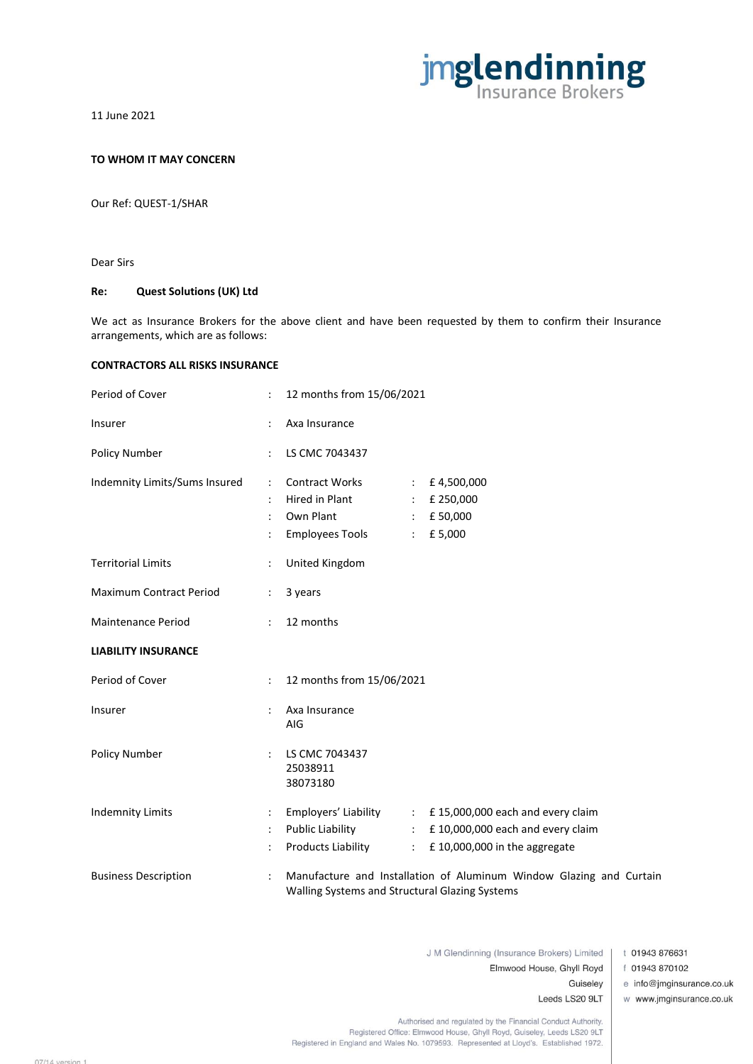

11 June 2021

## **TO WHOM IT MAY CONCERN**

Our Ref: QUEST-1/SHAR

Dear Sirs

## **Re: Quest Solutions (UK) Ltd**

We act as Insurance Brokers for the above client and have been requested by them to confirm their Insurance arrangements, which are as follows:

## **CONTRACTORS ALL RISKS INSURANCE**

| Period of Cover               |                      | 12 months from 15/06/2021                                                      |                                                                |                                                                                                                                 |
|-------------------------------|----------------------|--------------------------------------------------------------------------------|----------------------------------------------------------------|---------------------------------------------------------------------------------------------------------------------------------|
| Insurer                       |                      | Axa Insurance                                                                  |                                                                |                                                                                                                                 |
| Policy Number                 |                      | LS CMC 7043437                                                                 |                                                                |                                                                                                                                 |
| Indemnity Limits/Sums Insured | ÷                    | <b>Contract Works</b><br>Hired in Plant<br>Own Plant<br><b>Employees Tools</b> | $\mathcal{L}_{\mathrm{max}}$<br>$\mathcal{L}$<br>$\mathcal{L}$ | £4,500,000<br>£ 250,000<br>$\div$ £ 50,000<br>£5,000                                                                            |
| <b>Territorial Limits</b>     |                      | United Kingdom                                                                 |                                                                |                                                                                                                                 |
| Maximum Contract Period       |                      | 3 years                                                                        |                                                                |                                                                                                                                 |
| Maintenance Period            | ÷                    | 12 months                                                                      |                                                                |                                                                                                                                 |
| <b>LIABILITY INSURANCE</b>    |                      |                                                                                |                                                                |                                                                                                                                 |
| Period of Cover               | $\ddot{\cdot}$       | 12 months from 15/06/2021                                                      |                                                                |                                                                                                                                 |
| Insurer                       | $\ddot{\phantom{a}}$ | Axa Insurance<br>AIG                                                           |                                                                |                                                                                                                                 |
| Policy Number                 |                      | LS CMC 7043437<br>25038911<br>38073180                                         |                                                                |                                                                                                                                 |
| <b>Indemnity Limits</b>       | ÷<br>÷               | <b>Public Liability</b><br><b>Products Liability</b>                           |                                                                | Employers' Liability : £15,000,000 each and every claim<br>: £10,000,000 each and every claim<br>: £10,000,000 in the aggregate |
| <b>Business Description</b>   |                      | Walling Systems and Structural Glazing Systems                                 |                                                                | Manufacture and Installation of Aluminum Window Glazing and Curtain                                                             |

J M Glendinning (Insurance Brokers) Limited |

t 01943 876631

f 01943 870102

e info@jmginsurance.co.uk

Leeds LS20 9LT

Guiseley

Elmwood House, Ghyll Royd

w www.jmginsurance.co.uk